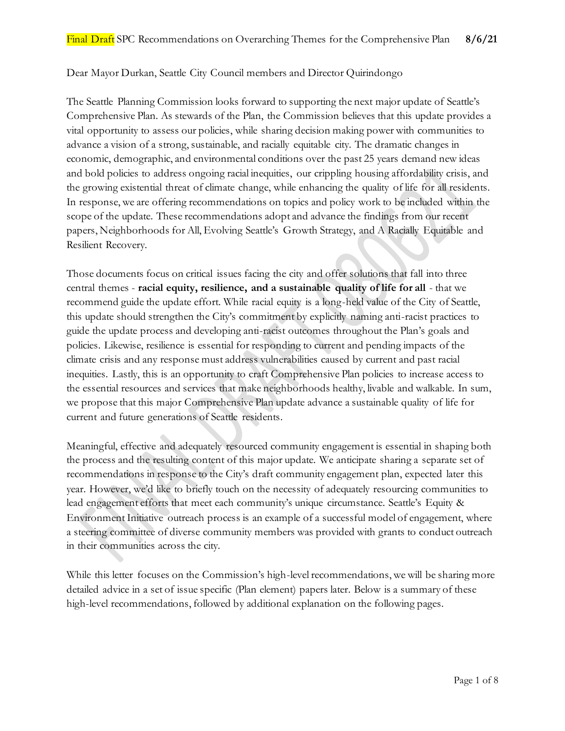#### Dear Mayor Durkan, Seattle City Council members and Director Quirindongo

The Seattle Planning Commission looks forward to supporting the next major update of Seattle's Comprehensive Plan. As stewards of the Plan, the Commission believes that this update provides a vital opportunity to assess our policies, while sharing decision making power with communities to advance a vision of a strong, sustainable, and racially equitable city. The dramatic changes in economic, demographic, and environmental conditions over the past 25 years demand new ideas and bold policies to address ongoing racial inequities, our crippling housing affordability crisis, and the growing existential threat of climate change, while enhancing the quality of life for all residents. In response, we are offering recommendations on topics and policy work to be included within the scope of the update. These recommendations adopt and advance the findings from our recent papers, Neighborhoods for All, Evolving Seattle's Growth Strategy, and A Racially Equitable and Resilient Recovery.

Those documents focus on critical issues facing the city and offer solutions that fall into three central themes - **racial equity, resilience, and a sustainable quality of life for all** - that we recommend guide the update effort. While racial equity is a long-held value of the City of Seattle, this update should strengthen the City's commitment by explicitly naming anti-racist practices to guide the update process and developing anti-racist outcomes throughout the Plan's goals and policies. Likewise, resilience is essential for responding to current and pending impacts of the climate crisis and any response must address vulnerabilities caused by current and past racial inequities. Lastly, this is an opportunity to craft Comprehensive Plan policies to increase access to the essential resources and services that make neighborhoods healthy, livable and walkable. In sum, we propose that this major Comprehensive Plan update advance a sustainable quality of life for current and future generations of Seattle residents.

Meaningful, effective and adequately resourced community engagement is essential in shaping both the process and the resulting content of this major update. We anticipate sharing a separate set of recommendations in response to the City's draft community engagement plan, expected later this year. However, we'd like to briefly touch on the necessity of adequately resourcing communities to lead engagement efforts that meet each community's unique circumstance. Seattle's Equity & Environment Initiative outreach process is an example of a successful model of engagement, where a steering committee of diverse community members was provided with grants to conduct outreach in their communities across the city.

While this letter focuses on the Commission's high-level recommendations, we will be sharing more detailed advice in a set of issue specific (Plan element) papers later. Below is a summary of these high-level recommendations, followed by additional explanation on the following pages.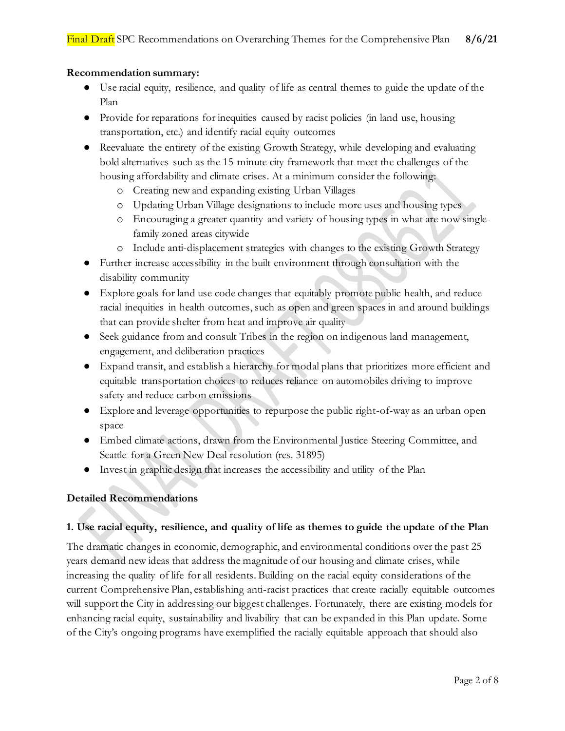#### **Recommendation summary:**

- Use racial equity, resilience, and quality of life as central themes to guide the update of the Plan
- Provide for reparations for inequities caused by racist policies (in land use, housing transportation, etc.) and identify racial equity outcomes
- Reevaluate the entirety of the existing Growth Strategy, while developing and evaluating bold alternatives such as the 15-minute city framework that meet the challenges of the housing affordability and climate crises. At a minimum consider the following:
	- o Creating new and expanding existing Urban Villages
	- o Updating Urban Village designations to include more uses and housing types
	- o Encouraging a greater quantity and variety of housing types in what are now singlefamily zoned areas citywide
	- o Include anti-displacement strategies with changes to the existing Growth Strategy
- Further increase accessibility in the built environment through consultation with the disability community
- Explore goals for land use code changes that equitably promote public health, and reduce racial inequities in health outcomes, such as open and green spaces in and around buildings that can provide shelter from heat and improve air quality
- Seek guidance from and consult Tribes in the region on indigenous land management, engagement, and deliberation practices
- Expand transit, and establish a hierarchy for modal plans that prioritizes more efficient and equitable transportation choices to reduces reliance on automobiles driving to improve safety and reduce carbon emissions
- Explore and leverage opportunities to repurpose the public right-of-way as an urban open space
- Embed climate actions, drawn from the Environmental Justice Steering Committee, and Seattle for a Green New Deal resolution (res. 31895)
- Invest in graphic design that increases the accessibility and utility of the Plan

#### **Detailed Recommendations**

#### **1. Use racial equity, resilience, and quality of life as themes to guide the update of the Plan**

The dramatic changes in economic, demographic, and environmental conditions over the past 25 years demand new ideas that address the magnitude of our housing and climate crises, while increasing the quality of life for all residents. Building on the racial equity considerations of the current Comprehensive Plan, establishing anti-racist practices that create racially equitable outcomes will support the City in addressing our biggest challenges. Fortunately, there are existing models for enhancing racial equity, sustainability and livability that can be expanded in this Plan update. Some of the City's ongoing programs have exemplified the racially equitable approach that should also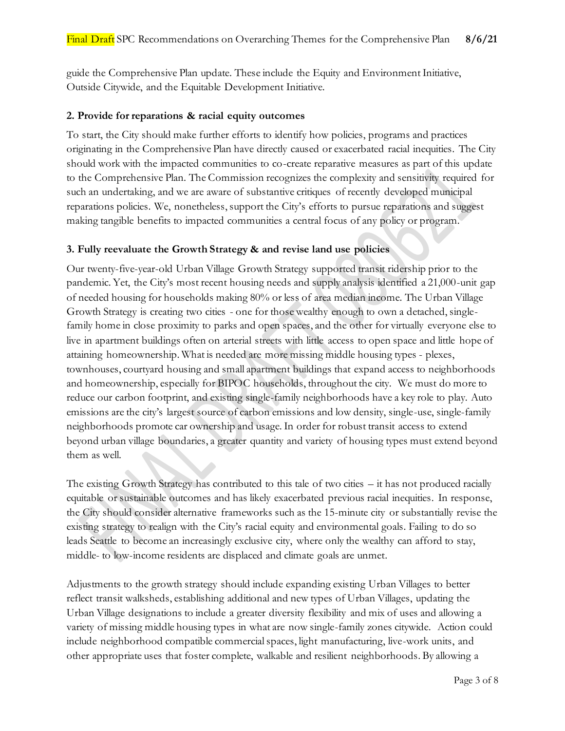guide the Comprehensive Plan update. These include the Equity and Environment Initiative, Outside Citywide, and the Equitable Development Initiative.

#### **2. Provide for reparations & racial equity outcomes**

To start, the City should make further efforts to identify how policies, programs and practices originating in the Comprehensive Plan have directly caused or exacerbated racial inequities. The City should work with the impacted communities to co-create reparative measures as part of this update to the Comprehensive Plan. The Commission recognizes the complexity and sensitivity required for such an undertaking, and we are aware of substantive critiques of recently developed municipal reparations policies. We, nonetheless, support the City's efforts to pursue reparations and suggest making tangible benefits to impacted communities a central focus of any policy or program.

#### **3. Fully reevaluate the Growth Strategy & and revise land use policies**

Our twenty-five-year-old Urban Village Growth Strategy supported transit ridership prior to the pandemic. Yet, the City's most recent housing needs and supply analysis identified a 21,000-unit gap of needed housing for households making 80% or less of area median income. The Urban Village Growth Strategy is creating two cities - one for those wealthy enough to own a detached, singlefamily home in close proximity to parks and open spaces, and the other for virtually everyone else to live in apartment buildings often on arterial streets with little access to open space and little hope of attaining homeownership. What is needed are more missing middle housing types - plexes, townhouses, courtyard housing and small apartment buildings that expand access to neighborhoods and homeownership, especially for BIPOC households, throughout the city. We must do more to reduce our carbon footprint, and existing single-family neighborhoods have a key role to play. Auto emissions are the city's largest source of carbon emissions and low density, single-use, single-family neighborhoods promote car ownership and usage. In order for robust transit access to extend beyond urban village boundaries, a greater quantity and variety of housing types must extend beyond them as well.

The existing Growth Strategy has contributed to this tale of two cities – it has not produced racially equitable or sustainable outcomes and has likely exacerbated previous racial inequities. In response, the City should consider alternative frameworks such as the 15-minute city or substantially revise the existing strategy to realign with the City's racial equity and environmental goals. Failing to do so leads Seattle to become an increasingly exclusive city, where only the wealthy can afford to stay, middle- to low-income residents are displaced and climate goals are unmet.

Adjustments to the growth strategy should include expanding existing Urban Villages to better reflect transit walksheds, establishing additional and new types of Urban Villages, updating the Urban Village designations to include a greater diversity flexibility and mix of uses and allowing a variety of missing middle housing types in what are now single-family zones citywide. Action could include neighborhood compatible commercial spaces, light manufacturing, live-work units, and other appropriate uses that foster complete, walkable and resilient neighborhoods. By allowing a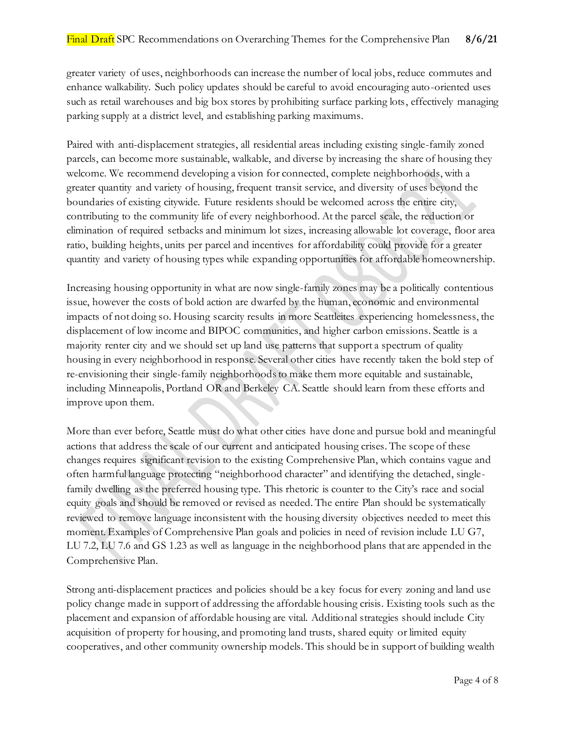greater variety of uses, neighborhoods can increase the number of local jobs, reduce commutes and enhance walkability. Such policy updates should be careful to avoid encouraging auto-oriented uses such as retail warehouses and big box stores by prohibiting surface parking lots, effectively managing parking supply at a district level, and establishing parking maximums.

Paired with anti-displacement strategies, all residential areas including existing single-family zoned parcels, can become more sustainable, walkable, and diverse by increasing the share of housing they welcome. We recommend developing a vision for connected, complete neighborhoods, with a greater quantity and variety of housing, frequent transit service, and diversity of uses beyond the boundaries of existing citywide. Future residents should be welcomed across the entire city, contributing to the community life of every neighborhood. At the parcel scale, the reduction or elimination of required setbacks and minimum lot sizes, increasing allowable lot coverage, floor area ratio, building heights, units per parcel and incentives for affordability could provide for a greater quantity and variety of housing types while expanding opportunities for affordable homeownership.

Increasing housing opportunity in what are now single-family zones may be a politically contentious issue, however the costs of bold action are dwarfed by the human, economic and environmental impacts of not doing so. Housing scarcity results in more Seattleites experiencing homelessness, the displacement of low income and BIPOC communities, and higher carbon emissions. Seattle is a majority renter city and we should set up land use patterns that support a spectrum of quality housing in every neighborhood in response. Several other cities have recently taken the bold step of re-envisioning their single-family neighborhoods to make them more equitable and sustainable, including Minneapolis, Portland OR and Berkeley CA. Seattle should learn from these efforts and improve upon them.

More than ever before, Seattle must do what other cities have done and pursue bold and meaningful actions that address the scale of our current and anticipated housing crises. The scope of these changes requires significant revision to the existing Comprehensive Plan, which contains vague and often harmful language protecting "neighborhood character" and identifying the detached, singlefamily dwelling as the preferred housing type. This rhetoric is counter to the City's race and social equity goals and should be removed or revised as needed. The entire Plan should be systematically reviewed to remove language inconsistent with the housing diversity objectives needed to meet this moment. Examples of Comprehensive Plan goals and policies in need of revision include LU G7, LU 7.2, LU 7.6 and GS 1.23 as well as language in the neighborhood plans that are appended in the Comprehensive Plan.

Strong anti-displacement practices and policies should be a key focus for every zoning and land use policy change made in support of addressing the affordable housing crisis. Existing tools such as the placement and expansion of affordable housing are vital. Additional strategies should include City acquisition of property for housing, and promoting land trusts, shared equity or limited equity cooperatives, and other community ownership models. This should be in support of building wealth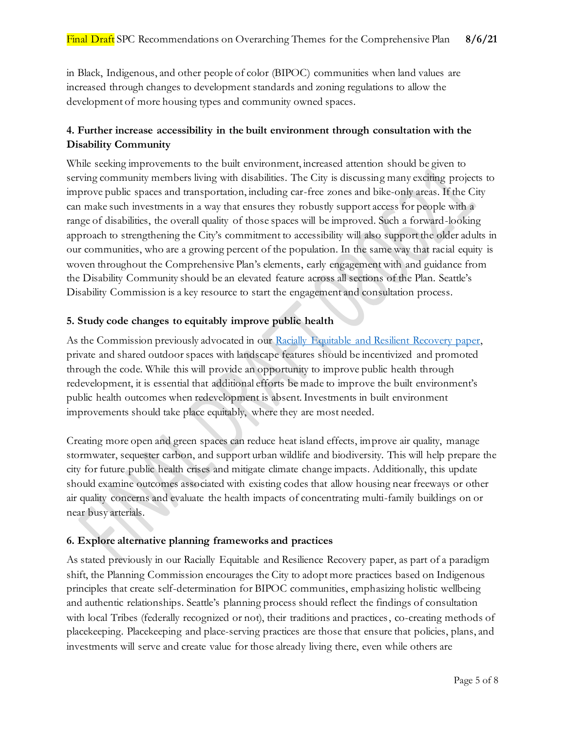in Black, Indigenous, and other people of color (BIPOC) communities when land values are increased through changes to development standards and zoning regulations to allow the development of more housing types and community owned spaces.

## **4. Further increase accessibility in the built environment through consultation with the Disability Community**

While seeking improvements to the built environment, increased attention should be given to serving community members living with disabilities. The City is discussing many exciting projects to improve public spaces and transportation, including car-free zones and bike-only areas. If the City can make such investments in a way that ensures they robustly support access for people with a range of disabilities, the overall quality of those spaces will be improved. Such a forward-looking approach to strengthening the City's commitment to accessibility will also support the older adults in our communities, who are a growing percent of the population. In the same way that racial equity is woven throughout the Comprehensive Plan's elements, early engagement with and guidance from the Disability Community should be an elevated feature across all sections of the Plan. Seattle's Disability Commission is a key resource to start the engagement and consultation process.

### **5. Study code changes to equitably improve public health**

As the Commission previously advocated in our [Racially Equitable and Resilient Recovery paper,](https://www.seattle.gov/Documents/Departments/SeattlePlanningCommission/RERRfinalSPC08032020.pdf) private and shared outdoor spaces with landscape features should be incentivized and promoted through the code. While this will provide an opportunity to improve public health through redevelopment, it is essential that additional efforts be made to improve the built environment's public health outcomes when redevelopment is absent. Investments in built environment improvements should take place equitably, where they are most needed.

Creating more open and green spaces can reduce heat island effects, improve air quality, manage stormwater, sequester carbon, and support urban wildlife and biodiversity. This will help prepare the city for future public health crises and mitigate climate change impacts. Additionally, this update should examine outcomes associated with existing codes that allow housing near freeways or other air quality concerns and evaluate the health impacts of concentrating multi-family buildings on or near busy arterials.

### **6. Explore alternative planning frameworks and practices**

As stated previously in our Racially Equitable and Resilience Recovery paper, as part of a paradigm shift, the Planning Commission encourages the City to adopt more practices based on Indigenous principles that create self-determination for BIPOC communities, emphasizing holistic wellbeing and authentic relationships. Seattle's planning process should reflect the findings of consultation with local Tribes (federally recognized or not), their traditions and practices, co-creating methods of placekeeping. Placekeeping and place-serving practices are those that ensure that policies, plans, and investments will serve and create value for those already living there, even while others are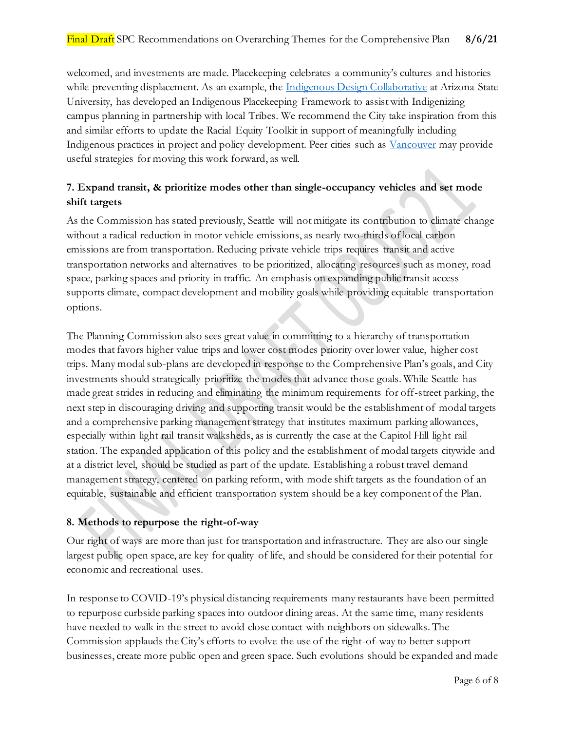welcomed, and investments are made. Placekeeping celebrates a community's cultures and histories while preventing displacement. As an example, the [Indigenous Design Collaborative](https://design.asu.edu/research-and-initiatives/indigenous-design-collaborative?dept=1626&id=1) at Arizona State University, has developed an Indigenous Placekeeping Framework to assist with Indigenizing campus planning in partnership with local Tribes. We recommend the City take inspiration from this and similar efforts to update the Racial Equity Toolkit in support of meaningfully including Indigenous practices in project and policy development. Peer cities such as [Vancouver](https://vancouver.ca/people-programs/community-partnerships.aspx) may provide useful strategies for moving this work forward, as well.

# **7. Expand transit, & prioritize modes other than single-occupancy vehicles and set mode shift targets**

As the Commission has stated previously, Seattle will not mitigate its contribution to climate change without a radical reduction in motor vehicle emissions, as nearly two-thirds of local carbon emissions are from transportation. Reducing private vehicle trips requires transit and active transportation networks and alternatives to be prioritized, allocating resources such as money, road space, parking spaces and priority in traffic. An emphasis on expanding public transit access supports climate, compact development and mobility goals while providing equitable transportation options.

The Planning Commission also sees great value in committing to a hierarchy of transportation modes that favors higher value trips and lower cost modes priority over lower value, higher cost trips. Many modal sub-plans are developed in response to the Comprehensive Plan's goals, and City investments should strategically prioritize the modes that advance those goals. While Seattle has made great strides in reducing and eliminating the minimum requirements for off-street parking, the next step in discouraging driving and supporting transit would be the establishment of modal targets and a comprehensive parking management strategy that institutes maximum parking allowances, especially within light rail transit walksheds, as is currently the case at the Capitol Hill light rail station. The expanded application of this policy and the establishment of modal targets citywide and at a district level, should be studied as part of the update. Establishing a robust travel demand management strategy, centered on parking reform, with mode shift targets as the foundation of an equitable, sustainable and efficient transportation system should be a key component of the Plan.

### **8. Methods to repurpose the right-of-way**

Our right of ways are more than just for transportation and infrastructure. They are also our single largest public open space, are key for quality of life, and should be considered for their potential for economic and recreational uses.

In response to COVID-19's physical distancing requirements many restaurants have been permitted to repurpose curbside parking spaces into outdoor dining areas. At the same time, many residents have needed to walk in the street to avoid close contact with neighbors on sidewalks. The Commission applauds the City's efforts to evolve the use of the right-of-way to better support businesses, create more public open and green space. Such evolutions should be expanded and made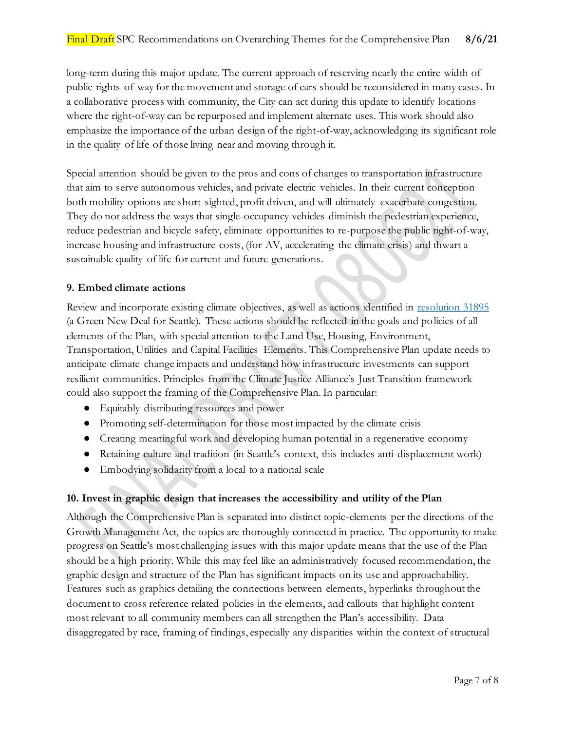long-term during this major update. The current approach of reserving nearly the entire width of public rights-of-way for the movement and storage of cars should be reconsidered in many cases. In a collaborative process with community, the City can act during this update to identify locations where the right-of-way can be repurposed and implement alternate uses. This work should also emphasize the importance of the urban design of the right-of-way, acknowledging its significant role in the quality of life of those living near and moving through it.

Special attention should be given to the pros and cons of changes to transportation infrastructure that aim to serve autonomous vehicles, and private electric vehicles. In their current conception both mobility options are short-sighted, profit driven, and will ultimately exacerbate congestion. They do not address the ways that single-occupancy vehicles diminish the pedestrian experience, reduce pedestrian and bicycle safety, eliminate opportunities to re-purpose the public right-of-way, increase housing and infrastructure costs, (for AV, accelerating the climate crisis) and thwart a sustainable quality of life for current and future generations.

### **9. Embed climate actions**

Review and incorporate existing climate objectives, as well as actions identified in [resolution 31895](http://clerk.seattle.gov/search/resolutions/31895) (a Green New Deal for Seattle). These actions should be reflected in the goals and policies of all elements of the Plan, with special attention to the Land Use, Housing, Environment, Transportation, Utilities and Capital Facilities Elements. This Comprehensive Plan update needs to anticipate climate change impacts and understand how infrastructure investments can support resilient communities. Principles from the Climate Justice Alliance's Just Transition framework could also support the framing of the Comprehensive Plan. In particular:

- Equitably distributing resources and power
- Promoting self-determination for those most impacted by the climate crisis
- Creating meaningful work and developing human potential in a regenerative economy
- Retaining culture and tradition (in Seattle's context, this includes anti-displacement work)
- Embodying solidarity from a local to a national scale

### **10. Invest in graphic design that increases the accessibility and utility of the Plan**

Although the Comprehensive Plan is separated into distinct topic-elements per the directions of the Growth Management Act, the topics are thoroughly connected in practice. The opportunity to make progress on Seattle's most challenging issues with this major update means that the use of the Plan should be a high priority. While this may feel like an administratively focused recommendation, the graphic design and structure of the Plan has significant impacts on its use and approachability. Features such as graphics detailing the connections between elements, hyperlinks throughout the document to cross reference related policies in the elements, and callouts that highlight content most relevant to all community members can all strengthen the Plan's accessibility. Data disaggregated by race, framing of findings, especially any disparities within the context of structural